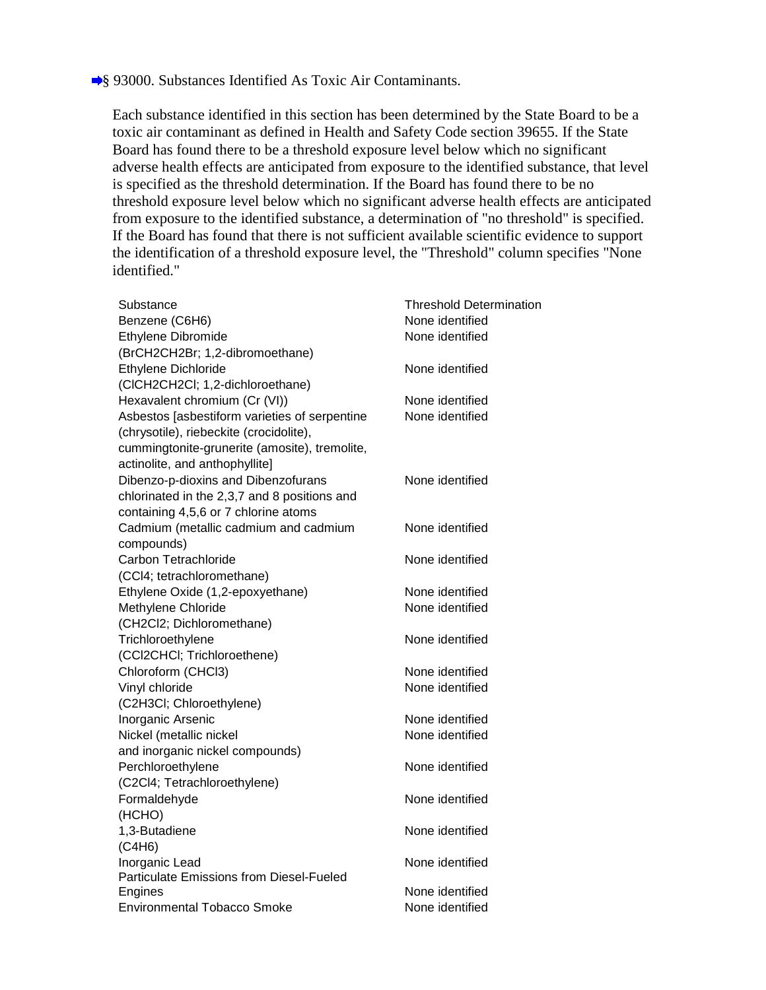## § 93000. Substances Identified As Toxic Air Contaminants.

 Each substance identified in this section has been determined by the State Board to be a toxic air contaminant as defined in Health and Safety Code section 39655. If the State Board has found there to be a threshold exposure level below which no significant adverse health effects are anticipated from exposure to the identified substance, that level is specified as the threshold determination. If the Board has found there to be no threshold exposure level below which no significant adverse health effects are anticipated from exposure to the identified substance, a determination of "no threshold" is specified. If the Board has found that there is not sufficient available scientific evidence to support the identification of a threshold exposure level, the "Threshold" column specifies "None identified."

| Substance<br>Benzene (C6H6)<br><b>Ethylene Dibromide</b><br>(BrCH2CH2Br; 1,2-dibromoethane) | <b>Threshold Determination</b><br>None identified<br>None identified |
|---------------------------------------------------------------------------------------------|----------------------------------------------------------------------|
| Ethylene Dichloride<br>(CICH2CH2CI; 1,2-dichloroethane)                                     | None identified                                                      |
| Hexavalent chromium (Cr (VI))                                                               | None identified                                                      |
| Asbestos [asbestiform varieties of serpentine                                               | None identified                                                      |
| (chrysotile), riebeckite (crocidolite),                                                     |                                                                      |
| cummingtonite-grunerite (amosite), tremolite,                                               |                                                                      |
| actinolite, and anthophyllite]                                                              |                                                                      |
| Dibenzo-p-dioxins and Dibenzofurans                                                         | None identified                                                      |
| chlorinated in the 2,3,7 and 8 positions and                                                |                                                                      |
| containing 4,5,6 or 7 chlorine atoms                                                        |                                                                      |
| Cadmium (metallic cadmium and cadmium                                                       | None identified                                                      |
| compounds)                                                                                  |                                                                      |
| Carbon Tetrachloride                                                                        | None identified                                                      |
| (CCI4; tetrachloromethane)                                                                  |                                                                      |
| Ethylene Oxide (1,2-epoxyethane)                                                            | None identified                                                      |
| Methylene Chloride                                                                          | None identified                                                      |
| (CH2Cl2; Dichloromethane)                                                                   |                                                                      |
| Trichloroethylene                                                                           | None identified                                                      |
| (CCI2CHCI; Trichloroethene)                                                                 |                                                                      |
| Chloroform (CHCl3)                                                                          | None identified                                                      |
| Vinyl chloride                                                                              | None identified                                                      |
| (C2H3Cl; Chloroethylene)                                                                    |                                                                      |
| Inorganic Arsenic                                                                           | None identified                                                      |
| Nickel (metallic nickel                                                                     | None identified                                                      |
| and inorganic nickel compounds)                                                             |                                                                      |
| Perchloroethylene                                                                           | None identified                                                      |
| (C2Cl4; Tetrachloroethylene)                                                                |                                                                      |
| Formaldehyde                                                                                | None identified                                                      |
| (HCHO)                                                                                      |                                                                      |
| 1,3-Butadiene                                                                               | None identified                                                      |
| (C4H6)                                                                                      |                                                                      |
| Inorganic Lead                                                                              | None identified                                                      |
| Particulate Emissions from Diesel-Fueled                                                    |                                                                      |
| Engines                                                                                     | None identified                                                      |
| Environmental Tobacco Smoke                                                                 | None identified                                                      |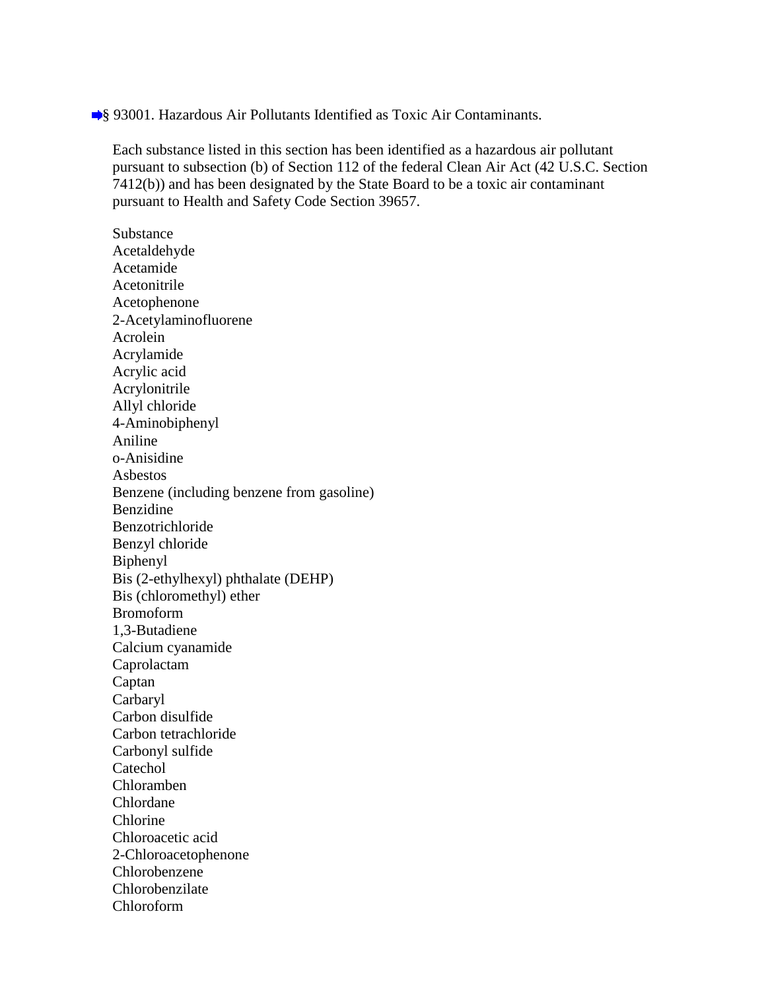§ 93001. Hazardous Air Pollutants Identified as Toxic Air Contaminants.

 Each substance listed in this section has been identified as a hazardous air pollutant pursuant to subsection (b) of Section 112 of the federal Clean Air Act (42 U.S.C. Section 7412(b)) and has been designated by the State Board to be a toxic air contaminant pursuant to Health and Safety Code Section 39657.

 Acrylic acid Allyl chloride Benzene (including benzene from gasoline) Benzyl chloride Bis (2-ethylhexyl) phthalate (DEHP) Bis (chloromethyl) ether Calcium cyanamide Carbon disulfide Carbonyl sulfide Chloroacetic acid Substance Acetaldehyde Acetamide Acetonitrile Acetophenone 2-Acetylaminofluorene Acrolein Acrylamide Acrylonitrile 4-Aminobiphenyl Aniline o-Anisidine Asbestos Benzidine Benzotrichloride Biphenyl Bromoform 1,3-Butadiene Caprolactam Captan Carbaryl Carbon tetrachloride Catechol Chloramben Chlordane Chlorine 2-Chloroacetophenone Chlorobenzene Chlorobenzilate Chloroform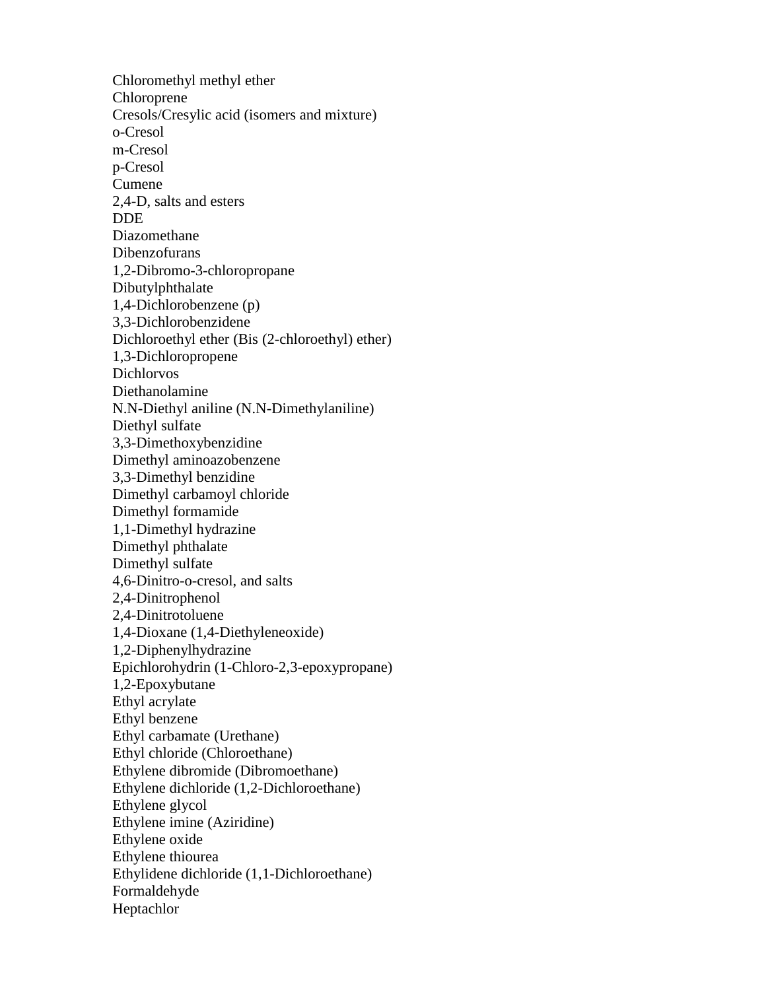Chloromethyl methyl ether Cresols/Cresylic acid (isomers and mixture) 2,4-D, salts and esters 1,4-Dichlorobenzene (p) Dichloroethyl ether (Bis (2-chloroethyl) ether) N.N-Diethyl aniline (N.N-Dimethylaniline) Diethyl sulfate 3,3-Dimethyl benzidine Dimethyl carbamoyl chloride Dimethyl formamide 1,1-Dimethyl hydrazine Dimethyl phthalate Dimethyl sulfate 4,6-Dinitro-o-cresol, and salts Ethyl acrylate Ethyl benzene Ethyl carbamate (Urethane) Ethyl chloride (Chloroethane) Ethylene dibromide (Dibromoethane) Ethylene dichloride (1,2-Dichloroethane) Ethylene glycol Ethylene imine (Aziridine) Ethylene oxide Ethylene thiourea Ethylidene dichloride (1,1-Dichloroethane) Chloroprene o-Cresol m-Cresol p-Cresol Cumene DDE Diazomethane Dibenzofurans 1,2-Dibromo-3-chloropropane Dibutylphthalate 3,3-Dichlorobenzidene 1,3-Dichloropropene Dichlorvos Diethanolamine 3,3-Dimethoxybenzidine Dimethyl aminoazobenzene 2,4-Dinitrophenol 2,4-Dinitrotoluene 1,4-Dioxane (1,4-Diethyleneoxide) 1,2-Diphenylhydrazine Epichlorohydrin (1-Chloro-2,3-epoxypropane) 1,2-Epoxybutane Formaldehyde Heptachlor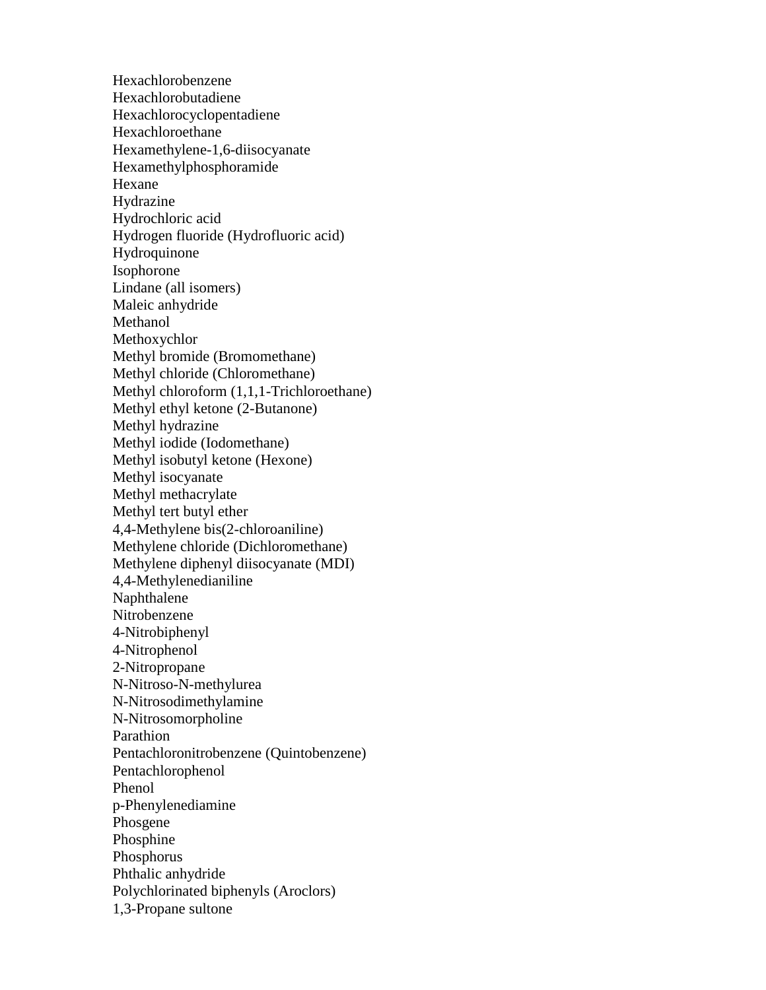Hydrochloric acid Hydrogen fluoride (Hydrofluoric acid) Lindane (all isomers) Maleic anhydride Methyl bromide (Bromomethane) Methyl chloride (Chloromethane) Methyl chloroform (1,1,1-Trichloroethane) Methyl ethyl ketone (2-Butanone) Methyl hydrazine Methyl iodide (Iodomethane) Methyl isobutyl ketone (Hexone) Methyl isocyanate Methyl tert butyl ether Methylene chloride (Dichloromethane) Methylene diphenyl diisocyanate (MDI) Phthalic anhydride Polychlorinated biphenyls (Aroclors) 1,3-Propane sultone Hexachlorobenzene Hexachlorobutadiene Hexachlorocyclopentadiene Hexachloroethane Hexamethylene-1,6-diisocyanate Hexamethylphosphoramide Hexane Hydrazine Hydroquinone Isophorone Methanol Methoxychlor Methyl methacrylate 4,4-Methylene bis(2-chloroaniline) 4,4-Methylenedianiline Naphthalene Nitrobenzene 4-Nitrobiphenyl 4-Nitrophenol 2-Nitropropane N-Nitroso-N-methylurea N-Nitrosodimethylamine N-Nitrosomorpholine Parathion Pentachloronitrobenzene (Quintobenzene) Pentachlorophenol Phenol p-Phenylenediamine Phosgene Phosphine Phosphorus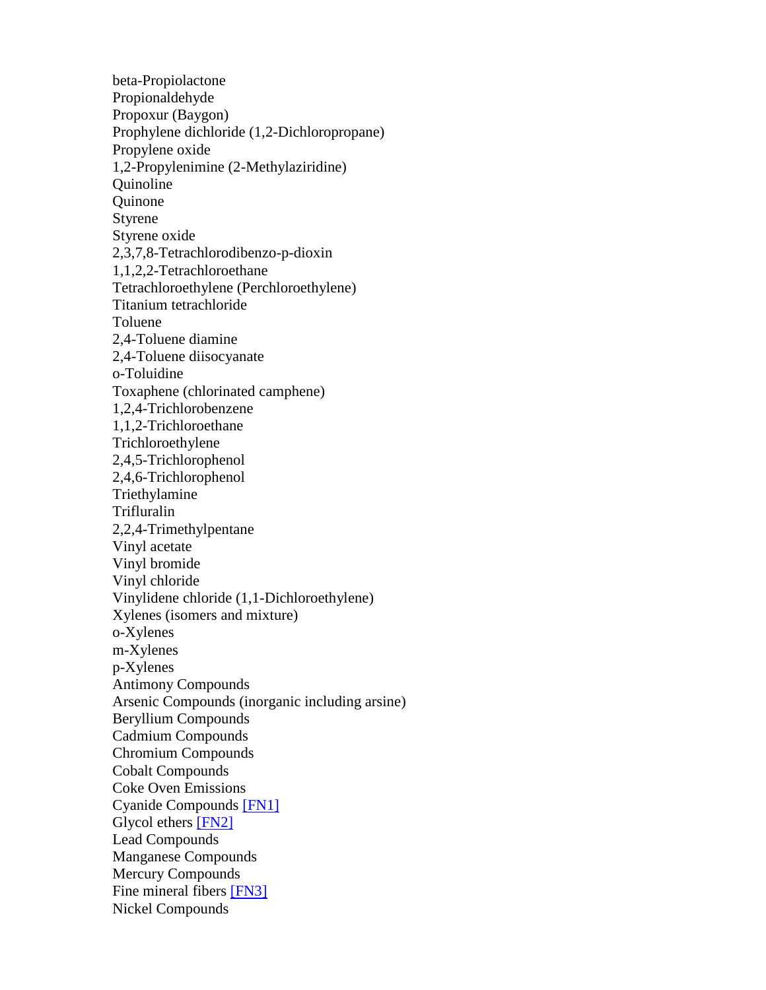Propoxur (Baygon) Prophylene dichloride (1,2-Dichloropropane) Propylene oxide Styrene oxide 2,4-Toluene diamine Toxaphene (chlorinated camphene) Vinyl acetate Vinyl bromide Vinyl chloride Vinylidene chloride (1,1-Dichloroethylene) Xylenes (isomers and mixture) Antimony Compounds Arsenic Compounds (inorganic including arsine) Beryllium Compounds Cadmium Compounds Chromium Compounds Cobalt Compounds Coke Oven Emissions Cyanide Compounds [FN1] Glycol ethers [FN2] Lead Compounds Manganese Compounds Mercury Compounds Fine mineral fibers **[FN3]**  Nickel Compounds beta-Propiolactone Propionaldehyde 1,2-Propylenimine (2-Methylaziridine) Quinoline **Ouinone** Styrene 2,3,7,8-Tetrachlorodibenzo-p-dioxin 1,1,2,2-Tetrachloroethane Tetrachloroethylene (Perchloroethylene) Titanium tetrachloride Toluene 2,4-Toluene diisocyanate o-Toluidine 1,2,4-Trichlorobenzene 1,1,2-Trichloroethane Trichloroethylene 2,4,5-Trichlorophenol 2,4,6-Trichlorophenol Triethylamine Trifluralin 2,2,4-Trimethylpentane o-Xylenes m-Xylenes p-Xylenes